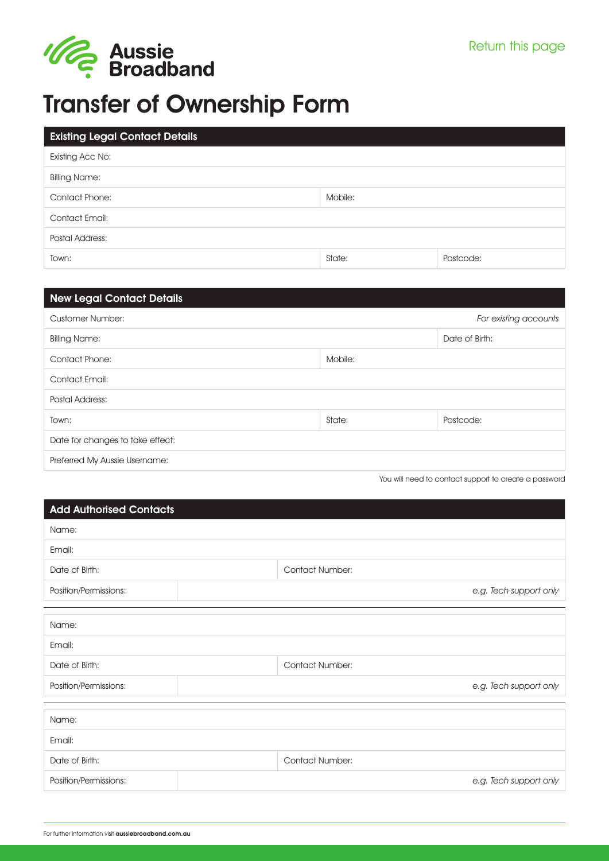

# Transfer of Ownership Form

| <b>Existing Legal Contact Details</b> |         |           |
|---------------------------------------|---------|-----------|
| Existing Acc No:                      |         |           |
| <b>Billing Name:</b>                  |         |           |
| <b>Contact Phone:</b>                 | Mobile: |           |
| Contact Email:                        |         |           |
| Postal Address:                       |         |           |
| Town:                                 | State:  | Postcode: |

|         | For existing accounts |
|---------|-----------------------|
|         | Date of Birth:        |
| Mobile: |                       |
|         |                       |
|         |                       |
| State:  | Postcode:             |
|         |                       |
|         |                       |
|         |                       |

You will need to contact support to create a password

| <b>Add Authorised Contacts</b> |  |                        |
|--------------------------------|--|------------------------|
| Name:                          |  |                        |
| Email:                         |  |                        |
| Date of Birth:                 |  | <b>Contact Number:</b> |
| Position/Permissions:          |  | e.g. Tech support only |
|                                |  |                        |
| Name:                          |  |                        |
| Email:                         |  |                        |
| Date of Birth:                 |  | <b>Contact Number:</b> |
| Position/Permissions:          |  | e.g. Tech support only |
|                                |  |                        |
| Name:                          |  |                        |
| Email:                         |  |                        |
| Date of Birth:                 |  | <b>Contact Number:</b> |
| Position/Permissions:          |  | e.g. Tech support only |
|                                |  |                        |